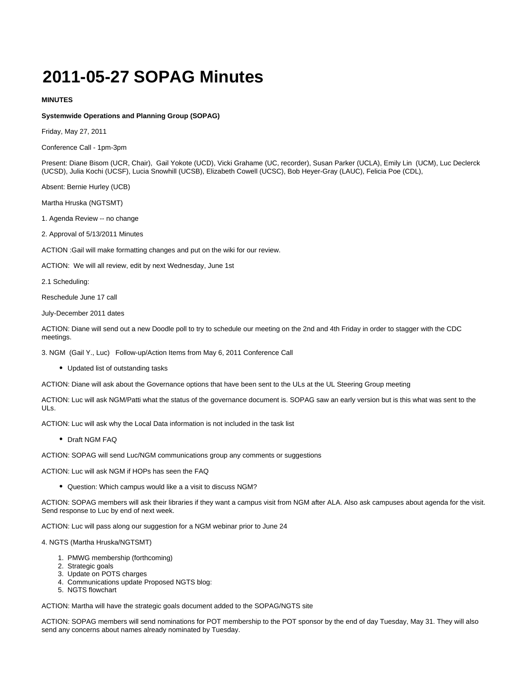## **2011-05-27 SOPAG Minutes**

## **MINUTES**

## **Systemwide Operations and Planning Group (SOPAG)**

Friday, May 27, 2011

Conference Call - 1pm-3pm

Present: Diane Bisom (UCR, Chair), Gail Yokote (UCD), Vicki Grahame (UC, recorder), Susan Parker (UCLA), Emily Lin (UCM), Luc Declerck (UCSD), Julia Kochi (UCSF), Lucia Snowhill (UCSB), Elizabeth Cowell (UCSC), Bob Heyer-Gray (LAUC), Felicia Poe (CDL),

Absent: Bernie Hurley (UCB)

Martha Hruska (NGTSMT)

1. Agenda Review -- no change

2. Approval of 5/13/2011 Minutes

ACTION :Gail will make formatting changes and put on the wiki for our review.

ACTION: We will all review, edit by next Wednesday, June 1st

2.1 Scheduling:

Reschedule June 17 call

July-December 2011 dates

ACTION: Diane will send out a new Doodle poll to try to schedule our meeting on the 2nd and 4th Friday in order to stagger with the CDC meetings.

3. NGM (Gail Y., Luc) Follow-up/Action Items from May 6, 2011 Conference Call

Updated list of outstanding tasks

ACTION: Diane will ask about the Governance options that have been sent to the ULs at the UL Steering Group meeting

ACTION: Luc will ask NGM/Patti what the status of the governance document is. SOPAG saw an early version but is this what was sent to the ULs.

ACTION: Luc will ask why the Local Data information is not included in the task list

Draft NGM FAQ

ACTION: SOPAG will send Luc/NGM communications group any comments or suggestions

ACTION: Luc will ask NGM if HOPs has seen the FAQ

Question: Which campus would like a a visit to discuss NGM?

ACTION: SOPAG members will ask their libraries if they want a campus visit from NGM after ALA. Also ask campuses about agenda for the visit. Send response to Luc by end of next week.

ACTION: Luc will pass along our suggestion for a NGM webinar prior to June 24

4. NGTS (Martha Hruska/NGTSMT)

- 1. PMWG membership (forthcoming)
- 2. Strategic goals
- 3. Update on POTS charges
- 4. Communications update Proposed NGTS blog:
- 5. NGTS flowchart

ACTION: Martha will have the strategic goals document added to the SOPAG/NGTS site

ACTION: SOPAG members will send nominations for POT membership to the POT sponsor by the end of day Tuesday, May 31. They will also send any concerns about names already nominated by Tuesday.